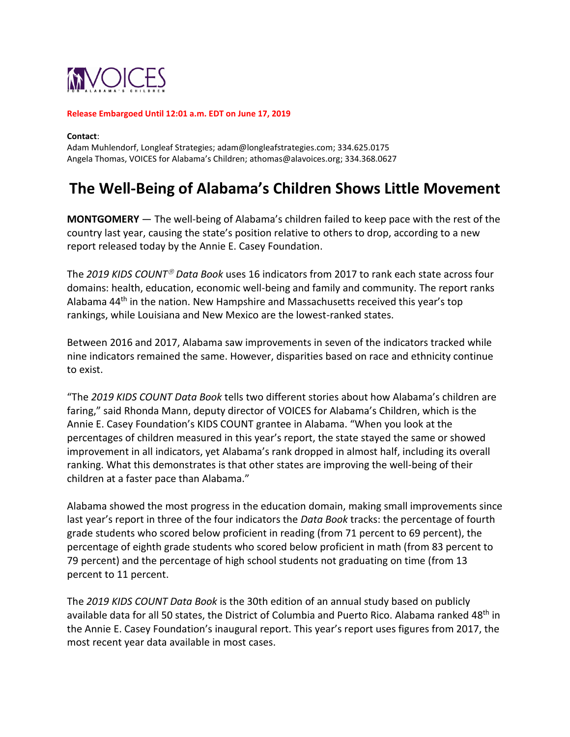

#### **Release Embargoed Until 12:01 a.m. EDT on June 17, 2019**

**Contact**:

Adam Muhlendorf, Longleaf Strategies[; adam@longleafstrategies.com;](mailto:adam@longleafstrategies.com) 334.625.0175 Angela Thomas, VOICES for Alabama's Children; [athomas@alavoices.org;](mailto:athomas@alavoices.org) 334.368.0627

# **The Well-Being of Alabama's Children Shows Little Movement**

**MONTGOMERY** — The well-being of Alabama's children failed to keep pace with the rest of the country last year, causing the state's position relative to others to drop, according to a new report released today by the [Annie E. Casey](http://www.aecf.org/) Foundation.

The 2019 KIDS COUNT<sup>®</sup> Data Book uses 16 indicators from 2017 to rank each state across four domains: health, education, economic well-being and family and community. The report ranks Alabama 44th in the nation. New Hampshire and Massachusetts received this year's top rankings, while Louisiana and New Mexico are the lowest-ranked states.

Between 2016 and 2017, Alabama saw improvements in seven of the indicators tracked while nine indicators remained the same. However, disparities based on race and ethnicity continue to exist.

"The *2019 KIDS COUNT Data Book* tells two different stories about how Alabama's children are faring," said Rhonda Mann, deputy director of VOICES for Alabama's Children, which is the Annie E. Casey Foundation's KIDS COUNT grantee in Alabama. "When you look at the percentages of children measured in this year's report, the state stayed the same or showed improvement in all indicators, yet Alabama's rank dropped in almost half, including its overall ranking. What this demonstrates is that other states are improving the well-being of their children at a faster pace than Alabama."

Alabama showed the most progress in the education domain, making small improvements since last year's report in three of the four indicators the *Data Book* tracks: the percentage of fourth grade students who scored below proficient in reading (from 71 percent to 69 percent), the percentage of eighth grade students who scored below proficient in math (from 83 percent to 79 percent) and the percentage of high school students not graduating on time (from 13 percent to 11 percent.

The *2019 KIDS COUNT Data Book* is the 30th edition of an annual study based on publicly available data for all 50 states, the District of Columbia and Puerto Rico. Alabama ranked 48<sup>th</sup> in the Annie E. Casey Foundation's inaugural report. This year's report uses figures from 2017, the most recent year data available in most cases.